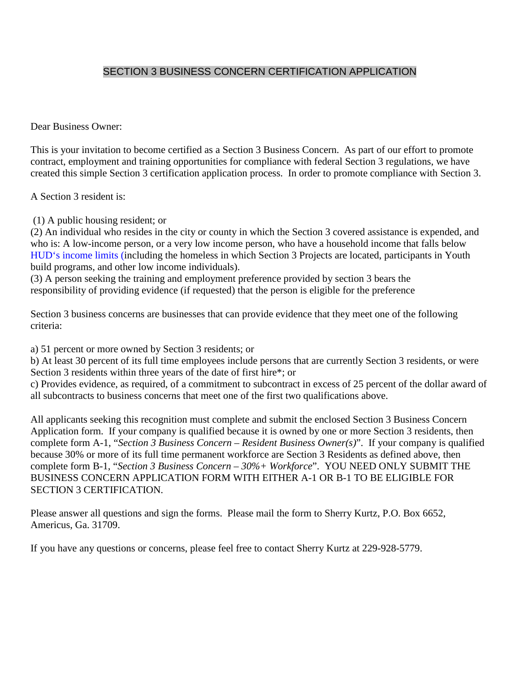# SECTION 3 BUSINESS CONCERN CERTIFICATION APPLICATION

Dear Business Owner:

This is your invitation to become certified as a Section 3 Business Concern. As part of our effort to promote contract, employment and training opportunities for compliance with federal Section 3 regulations, we have created this simple Section 3 certification application process. In order to promote compliance with Section 3.

A Section 3 resident is:

(1) A public housing resident; or

(2) An individual who resides in the city or county in which the Section 3 covered assistance is expended, and who is: A low-income person, or a very low income person, who have a household income that falls below HUD's income limits (including the homeless in which Section 3 Projects are located, participants in Youth build programs, and other low income individuals).

(3) A person seeking the training and employment preference provided by section 3 bears the responsibility of providing evidence (if requested) that the person is eligible for the preference

Section 3 business concerns are businesses that can provide evidence that they meet one of the following criteria:

a) 51 percent or more owned by Section 3 residents; or

b) At least 30 percent of its full time employees include persons that are currently Section 3 residents, or were Section 3 residents within three years of the date of first hire\*; or

c) Provides evidence, as required, of a commitment to subcontract in excess of 25 percent of the dollar award of all subcontracts to business concerns that meet one of the first two qualifications above.

All applicants seeking this recognition must complete and submit the enclosed Section 3 Business Concern Application form. If your company is qualified because it is owned by one or more Section 3 residents, then complete form A-1, "*Section 3 Business Concern – Resident Business Owner(s)*". If your company is qualified because 30% or more of its full time permanent workforce are Section 3 Residents as defined above, then complete form B-1, "*Section 3 Business Concern – 30%+ Workforce*". YOU NEED ONLY SUBMIT THE BUSINESS CONCERN APPLICATION FORM WITH EITHER A-1 OR B-1 TO BE ELIGIBLE FOR SECTION 3 CERTIFICATION.

Please answer all questions and sign the forms. Please mail the form to Sherry Kurtz, P.O. Box 6652, Americus, Ga. 31709.

If you have any questions or concerns, please feel free to contact Sherry Kurtz at 229-928-5779.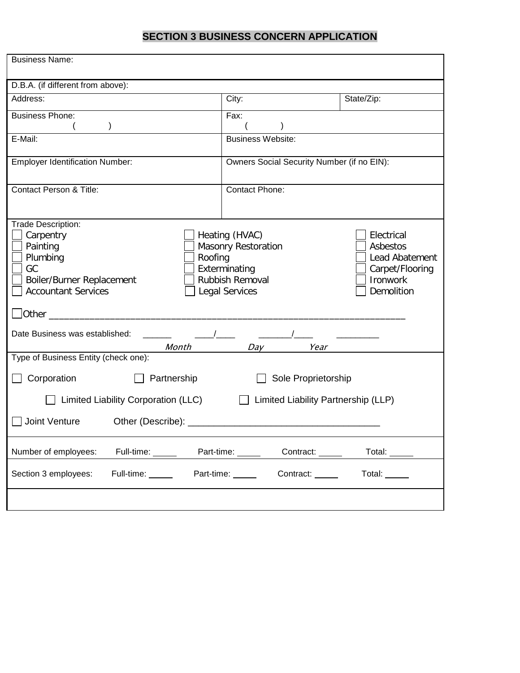# **SECTION 3 BUSINESS CONCERN APPLICATION**

| <b>Business Name:</b>                                                                                                                                                                                                                                                                                                                            |                                            |            |  |  |
|--------------------------------------------------------------------------------------------------------------------------------------------------------------------------------------------------------------------------------------------------------------------------------------------------------------------------------------------------|--------------------------------------------|------------|--|--|
| D.B.A. (if different from above):                                                                                                                                                                                                                                                                                                                |                                            |            |  |  |
| Address:                                                                                                                                                                                                                                                                                                                                         | City:                                      | State/Zip: |  |  |
| <b>Business Phone:</b>                                                                                                                                                                                                                                                                                                                           | Fax:                                       |            |  |  |
| E-Mail:                                                                                                                                                                                                                                                                                                                                          | <b>Business Website:</b>                   |            |  |  |
| <b>Employer Identification Number:</b>                                                                                                                                                                                                                                                                                                           | Owners Social Security Number (if no EIN): |            |  |  |
| <b>Contact Person &amp; Title:</b>                                                                                                                                                                                                                                                                                                               | Contact Phone:                             |            |  |  |
| Trade Description:<br>Heating (HVAC)<br>Carpentry<br>Electrical<br>Painting<br><b>Masonry Restoration</b><br>Asbestos<br>Plumbing<br>Roofing<br>Lead Abatement<br>Exterminating<br>GC<br>Carpet/Flooring<br><b>Rubbish Removal</b><br>Ironwork<br>Boiler/Burner Replacement<br><b>Accountant Services</b><br><b>Legal Services</b><br>Demolition |                                            |            |  |  |
| Date Business was established:<br>Month<br>Day Year                                                                                                                                                                                                                                                                                              |                                            |            |  |  |
| Type of Business Entity (check one):                                                                                                                                                                                                                                                                                                             |                                            |            |  |  |
| Corporation<br>Partnership                                                                                                                                                                                                                                                                                                                       | Sole Proprietorship                        |            |  |  |
| Limited Liability Corporation (LLC)<br>Limited Liability Partnership (LLP)                                                                                                                                                                                                                                                                       |                                            |            |  |  |
| Joint Venture<br>Other (Describe): __<br><u> 1989 - Johann John Stone, mars eta bat eta bat eta bat eta bat eta bat ez arteko harta bat eta bat eta bat e</u>                                                                                                                                                                                    |                                            |            |  |  |
| Full-time: _____<br>Number of employees:                                                                                                                                                                                                                                                                                                         | Part-time: _____<br>Contract:              | Total:     |  |  |
| Section 3 employees:<br>Full-time: _____                                                                                                                                                                                                                                                                                                         | Contract: _____<br>Part-time: _____        | Total:     |  |  |
|                                                                                                                                                                                                                                                                                                                                                  |                                            |            |  |  |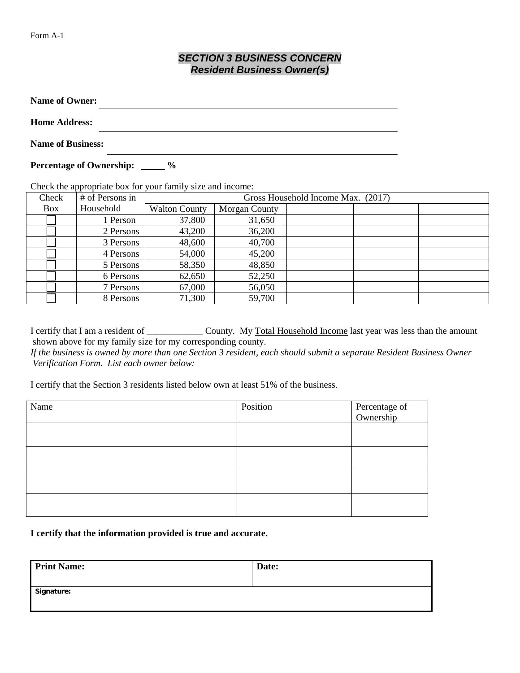## *SECTION 3 BUSINESS CONCERN Resident Business Owner(s)*

| <b>Name of Owner:</b>      |               |
|----------------------------|---------------|
| <b>Home Address:</b>       |               |
| <b>Name of Business:</b>   |               |
| Percentage of Ownership: _ | $\frac{0}{0}$ |

Check the appropriate box for your family size and income:

| Check      | # of Persons in | Gross Household Income Max. (2017) |               |  |  |
|------------|-----------------|------------------------------------|---------------|--|--|
| <b>Box</b> | Household       | <b>Walton County</b>               | Morgan County |  |  |
|            | 1 Person        | 37,800                             | 31,650        |  |  |
|            | 2 Persons       | 43,200                             | 36,200        |  |  |
|            | 3 Persons       | 48,600                             | 40,700        |  |  |
|            | 4 Persons       | 54,000                             | 45,200        |  |  |
|            | 5 Persons       | 58,350                             | 48,850        |  |  |
|            | 6 Persons       | 62,650                             | 52,250        |  |  |
|            | 7 Persons       | 67,000                             | 56,050        |  |  |
|            | 8 Persons       | 71,300                             | 59,700        |  |  |

I certify that I am a resident of \_\_\_\_\_\_\_\_\_\_\_\_\_ County. My Total Household Income last year was less than the amount shown above for my family size for my corresponding county.

*If the business is owned by more than one Section 3 resident, each should submit a separate Resident Business Owner Verification Form. List each owner below:* 

I certify that the Section 3 residents listed below own at least 51% of the business.

| Name | Position | Percentage of<br>Ownership |
|------|----------|----------------------------|
|      |          |                            |
|      |          |                            |
|      |          |                            |
|      |          |                            |
|      |          |                            |

**I certify that the information provided is true and accurate.**

| <b>Print Name:</b> | Date: |
|--------------------|-------|
| Signature:         |       |